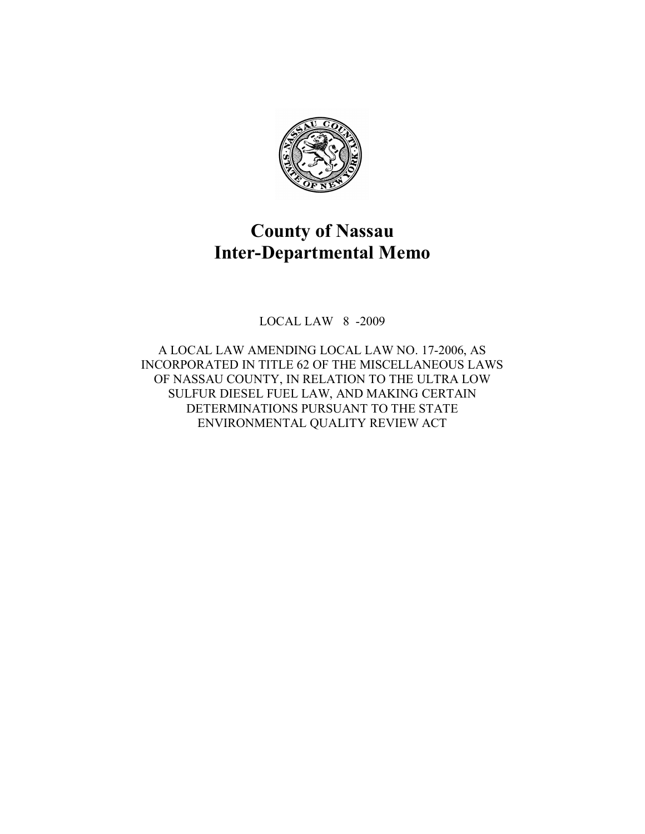

## **County of Nassau Inter-Departmental Memo**

LOCAL LAW 8 -2009

A LOCAL LAW AMENDING LOCAL LAW NO. 17-2006, AS INCORPORATED IN TITLE 62 OF THE MISCELLANEOUS LAWS OF NASSAU COUNTY, IN RELATION TO THE ULTRA LOW SULFUR DIESEL FUEL LAW, AND MAKING CERTAIN DETERMINATIONS PURSUANT TO THE STATE ENVIRONMENTAL QUALITY REVIEW ACT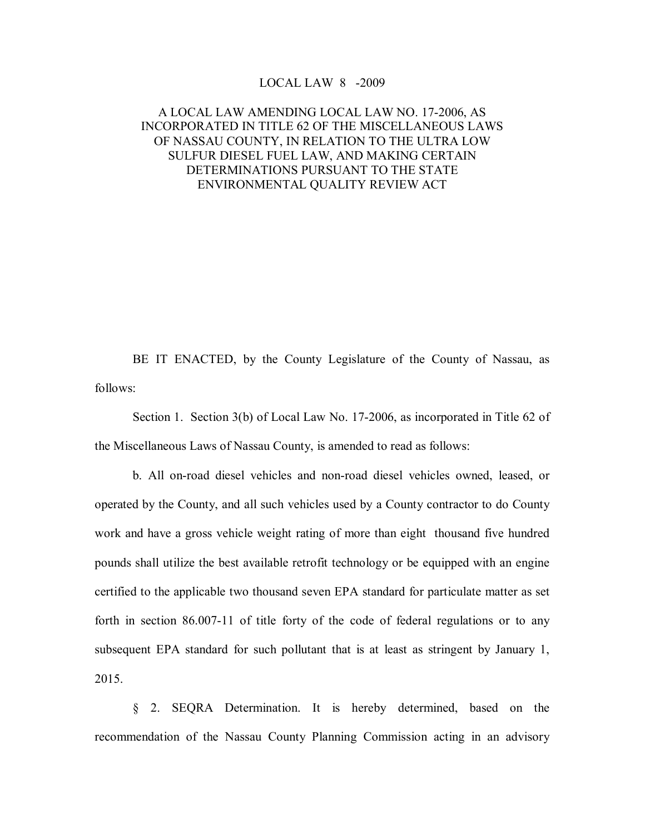## LOCAL LAW  $8 -2009$

## A LOCAL LAW AMENDING LOCAL LAW NO. 172006, AS INCORPORATED IN TITLE 62 OF THE MISCELLANEOUS LAWS OF NASSAU COUNTY, IN RELATION TO THE ULTRA LOW SULFUR DIESEL FUEL LAW, AND MAKING CERTAIN DETERMINATIONS PURSUANT TO THE STATE ENVIRONMENTAL QUALITY REVIEW ACT

BE IT ENACTED, by the County Legislature of the County of Nassau, as follows:

Section 1. Section 3(b) of Local Law No. 17-2006, as incorporated in Title 62 of the Miscellaneous Laws of Nassau County, is amended to read as follows:

b. All on-road diesel vehicles and non-road diesel vehicles owned, leased, or operated by the County, and all such vehicles used by a County contractor to do County work and have a gross vehicle weight rating of more than eight thousand five hundred pounds shall utilize the best available retrofit technology or be equipped with an engine certified to the applicable two thousand seven EPA standard for particulate matter as set forth in section  $86.007-11$  of title forty of the code of federal regulations or to any subsequent EPA standard for such pollutant that is at least as stringent by January 1, 2015.

§ 2. SEQRA Determination. It is hereby determined, based on the recommendation of the Nassau County Planning Commission acting in an advisory